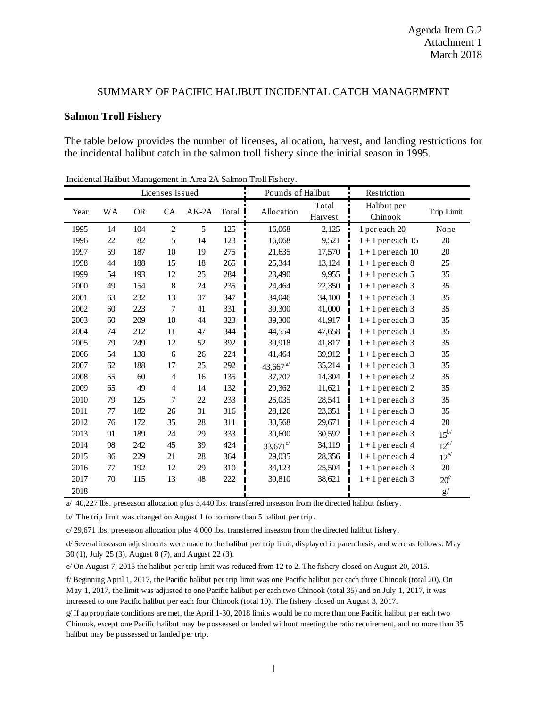## SUMMARY OF PACIFIC HALIBUT INCIDENTAL CATCH MANAGEMENT

## **Salmon Troll Fishery**

The table below provides the number of licenses, allocation, harvest, and landing restrictions for the incidental halibut catch in the salmon troll fishery since the initial season in 1995.

|      |           |           | Licenses Issued |         |         |                                           | Pounds of Halibut<br>Restriction |                        |                   |
|------|-----------|-----------|-----------------|---------|---------|-------------------------------------------|----------------------------------|------------------------|-------------------|
| Year | <b>WA</b> | <b>OR</b> | CA              | $AK-2A$ | Total I | Allocation                                | Total<br>Harvest                 | Halibut per<br>Chinook | Trip Limit        |
| 1995 | 14        | 104       | $\overline{c}$  | 5       | 125     | 16,068                                    | 2,125                            | 1 per each 20          | None              |
| 1996 | $22\,$    | 82        | 5               | 14      | 123     | 16,068                                    | 9,521                            | $1 + 1$ per each 15    | $20\,$            |
| 1997 | 59        | 187       | 10              | 19      | 275     | 21,635                                    | 17,570                           | $1 + 1$ per each 10    | $20\,$            |
| 1998 | 44        | 188       | 15              | 18      | 265     | 25,344                                    | 13,124                           | $1 + 1$ per each 8     | 25                |
| 1999 | 54        | 193       | 12              | 25      | 284     | 23,490                                    | 9,955                            | $1 + 1$ per each 5     | 35                |
| 2000 | 49        | 154       | $8\,$           | 24      | 235     | 24,464                                    | 22,350                           | $1 + 1$ per each 3     | 35                |
| 2001 | 63        | 232       | 13              | 37      | 347     | 34,046                                    | 34,100                           | $1 + 1$ per each 3     | 35                |
| 2002 | 60        | 223       | 7               | 41      | 331     | 39,300                                    | 41,000                           | $1 + 1$ per each 3     | 35                |
| 2003 | 60        | 209       | 10              | 44      | 323     | 39,300                                    | 41,917                           | $1 + 1$ per each 3     | 35                |
| 2004 | 74        | 212       | 11              | 47      | 344     | 44,554                                    | 47,658                           | $1 + 1$ per each 3     | 35                |
| 2005 | 79        | 249       | 12              | 52      | 392     | 39,918                                    | 41,817                           | $1 + 1$ per each 3     | 35                |
| 2006 | 54        | 138       | 6               | $26\,$  | 224     | 41,464                                    | 39,912                           | $1 + 1$ per each 3     | 35                |
| 2007 | 62        | 188       | 17              | 25      | 292     | 43,667 $a$ <sup><math>\prime</math></sup> | 35,214                           | $1 + 1$ per each 3     | 35                |
| 2008 | 55        | 60        | $\overline{4}$  | 16      | 135     | 37,707                                    | 14,304                           | $1 + 1$ per each 2     | 35                |
| 2009 | 65        | 49        | $\overline{4}$  | 14      | 132     | 29,362                                    | 11,621                           | $1 + 1$ per each 2     | 35                |
| 2010 | 79        | 125       | 7               | $22\,$  | 233     | 25,035                                    | 28,541                           | $1 + 1$ per each 3     | 35                |
| 2011 | 77        | 182       | 26              | 31      | 316     | 28,126                                    | 23,351                           | $1 + 1$ per each 3     | 35                |
| 2012 | 76        | 172       | 35              | 28      | 311     | 30,568                                    | 29,671                           | $1 + 1$ per each 4     | 20                |
| 2013 | 91        | 189       | 24              | 29      | 333     | 30,600                                    | 30,592                           | $1 + 1$ per each 3     | $15^{b/}$         |
| 2014 | 98        | 242       | 45              | 39      | 424     | $33,671^{\circ/}$                         | 34,119                           | $1 + 1$ per each 4     | $12^{d/}$         |
| 2015 | 86        | 229       | 21              | 28      | 364     | 29,035                                    | 28,356                           | $1 + 1$ per each 4     | $12^{e/}$         |
| 2016 | 77        | 192       | 12              | 29      | 310     | 34,123                                    | 25,504                           | $1 + 1$ per each 3     | $20\,$            |
| 2017 | 70        | 115       | 13              | 48      | 222     | 39,810                                    | 38,621                           | $1 + 1$ per each 3     | $20^{\mathrm{f}}$ |
| 2018 |           |           |                 |         |         |                                           |                                  |                        | g/                |

Incidental Halibut Management in Area 2A Salmon Troll Fishery.

a/ 40,227 lbs. preseason allocation plus 3,440 lbs. transferred inseason from the directed halibut fishery.

b/ The trip limit was changed on August 1 to no more than 5 halibut per trip.

c/ 29,671 lbs. preseason allocation plus 4,000 lbs. transferred inseason from the directed halibut fishery.

d/ Several inseason adjustments were made to the halibut per trip limit, displayed in parenthesis, and were as follows: May 30 (1), July 25 (3), August 8 (7), and August 22 (3).

e/ On August 7, 2015 the halibut per trip limit was reduced from 12 to 2. The fishery closed on August 20, 2015.

f/ Beginning April 1, 2017, the Pacific halibut per trip limit was one Pacific halibut per each three Chinook (total 20). On May 1, 2017, the limit was adjusted to one Pacific halibut per each two Chinook (total 35) and on July 1, 2017, it was increased to one Pacific halibut per each four Chinook (total 10). The fishery closed on August 3, 2017.

g/ If appropriate conditions are met, the April 1-30, 2018 limits would be no more than one Pacific halibut per each two Chinook, except one Pacific halibut may be possessed or landed without meeting the ratio requirement, and no more than 35 halibut may be possessed or landed per trip.